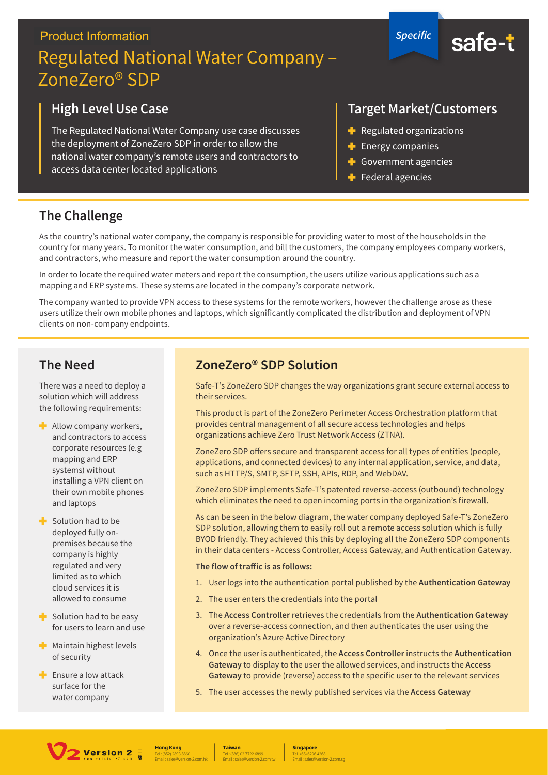# **Product Information** Regulated National Water Company – ZoneZero® SDP

## **High Level Use Case**

The Regulated National Water Company use case discusses the deployment of ZoneZero SDP in order to allow the national water company's remote users and contractors to access data center located applications

#### **Target Market/Customers**

*Specific*

safe-t

- $\blacktriangleright$  Regulated organizations
- $\blacktriangle$  Energy companies
- Government agencies
- $\blacktriangleright$  Federal agencies

#### **The Challenge**

As the country's national water company, the company is responsible for providing water to most of the households in the country for many years. To monitor the water consumption, and bill the customers, the company employees company workers, and contractors, who measure and report the water consumption around the country.

In order to locate the required water meters and report the consumption, the users utilize various applications such as a mapping and ERP systems. These systems are located in the company's corporate network.

The company wanted to provide VPN access to these systems for the remote workers, however the challenge arose as these users utilize their own mobile phones and laptops, which significantly complicated the distribution and deployment of VPN clients on non-company endpoints.

#### **The Need**

There was a need to deploy a solution which will address the following requirements:

- $\blacksquare$  Allow company workers, and contractors to access corporate resources (e.g mapping and ERP systems) without installing a VPN client on their own mobile phones and laptops
- $\blacksquare$  Solution had to be deployed fully onpremises because the company is highly regulated and very limited as to which cloud services it is allowed to consume
- $\blacktriangleright$  Solution had to be easy for users to learn and use
- $\blacksquare$  Maintain highest levels of security
- $\blacksquare$  Ensure a low attack surface for the water company

## **ZoneZero® SDP Solution**

Safe-T's ZoneZero SDP changes the way organizations grant secure external access to their services.

This product is part of the ZoneZero Perimeter Access Orchestration platform that provides central management of all secure access technologies and helps organizations achieve Zero Trust Network Access (ZTNA).

ZoneZero SDP offers secure and transparent access for all types of entities (people, applications, and connected devices) to any internal application, service, and data, such as HTTP/S, SMTP, SFTP, SSH, APIs, RDP, and WebDAV.

ZoneZero SDP implements Safe-T's patented reverse-access (outbound) technology which eliminates the need to open incoming ports in the organization's firewall.

As can be seen in the below diagram, the water company deployed Safe-T's ZoneZero SDP solution, allowing them to easily roll out a remote access solution which is fully BYOD friendly. They achieved this this by deploying all the ZoneZero SDP components in their data centers - Access Controller, Access Gateway, and Authentication Gateway.

#### The flow of traffic is as follows:

- 1. User logs into the authentication portal published by the Authentication Gateway
- 2. The user enters the credentials into the portal
- 3. The Access Controller retrieves the credentials from the Authentication Gateway over a reverse-access connection, and then authenticates the user using the organization's Azure Active Directory
- 4. Once the user is authenticated, the Access Controller instructs the Authentication Gateway to display to the user the allowed services, and instructs the Access **Gateway** to provide (reverse) access to the specific user to the relevant services
- 5. The user accesses the newly published services via the **Access Gateway**



Tel : (852) 2893 8860 **Hong Kong** Email : sales@version-2.com.hk

Tel : (886) 02 7722 6899 **Taiwan** Email : sales@version-2.com.tw

Tel : (65) 6296 4268 **Singapore** Email : sales@version-2.com.sg